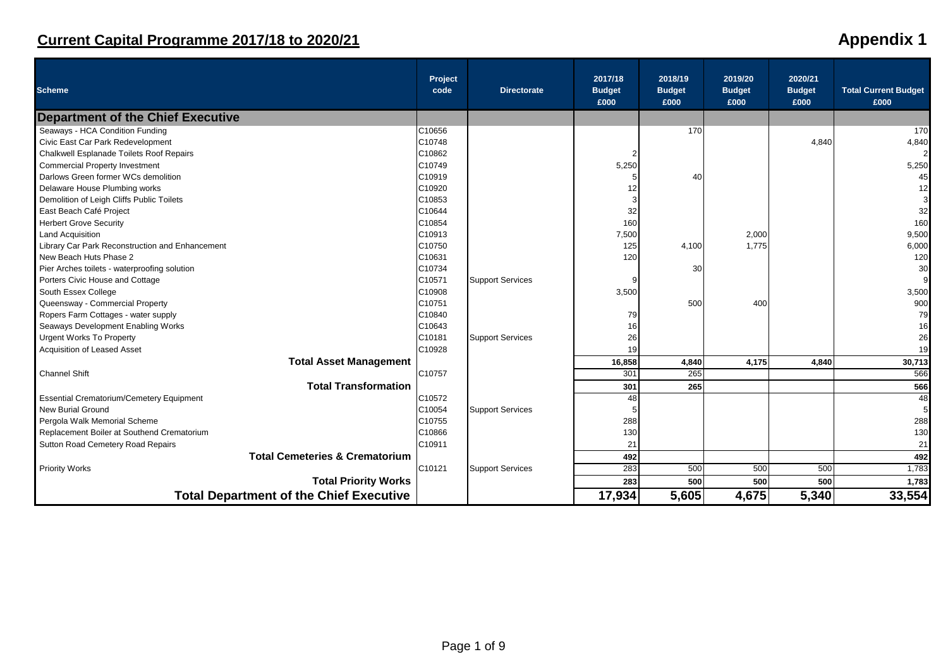# **Current Capital Programme 2017/18 to 2020/21**

| <b>Appendix 1</b> |  |
|-------------------|--|
|-------------------|--|

| <b>Scheme</b>                                   | Project<br>code | <b>Directorate</b>      | 2017/18<br><b>Budget</b><br>£000 | 2018/19<br><b>Budget</b><br>£000 | 2019/20<br><b>Budget</b><br>£000 | 2020/21<br><b>Budget</b><br>£000 | <b>Total Current Budget</b><br>£000 |
|-------------------------------------------------|-----------------|-------------------------|----------------------------------|----------------------------------|----------------------------------|----------------------------------|-------------------------------------|
| <b>Department of the Chief Executive</b>        |                 |                         |                                  |                                  |                                  |                                  |                                     |
| Seaways - HCA Condition Funding                 | C10656          |                         |                                  | 170                              |                                  |                                  | 170                                 |
| Civic East Car Park Redevelopment               | C10748          |                         |                                  |                                  |                                  | 4,840                            | 4,840                               |
| Chalkwell Esplanade Toilets Roof Repairs        | C10862          |                         | $\overline{2}$                   |                                  |                                  |                                  | $\overline{2}$                      |
| <b>Commercial Property Investment</b>           | C10749          |                         | 5,250                            |                                  |                                  |                                  | 5,250                               |
| Darlows Green former WCs demolition             | C10919          |                         |                                  | 40                               |                                  |                                  | 45                                  |
| Delaware House Plumbing works                   | C10920          |                         | 12                               |                                  |                                  |                                  | 12                                  |
| Demolition of Leigh Cliffs Public Toilets       | C10853          |                         | 3                                |                                  |                                  |                                  |                                     |
| East Beach Café Project                         | C10644          |                         | 32                               |                                  |                                  |                                  | 32                                  |
| <b>Herbert Grove Security</b>                   | C10854          |                         | 160                              |                                  |                                  |                                  | 160                                 |
| <b>Land Acquisition</b>                         | C10913          |                         | 7,500                            |                                  | 2,000                            |                                  | 9,500                               |
| Library Car Park Reconstruction and Enhancement | C10750          |                         | 125                              | 4,100                            | 1,775                            |                                  | 6,000                               |
| New Beach Huts Phase 2                          | C10631          |                         | 120                              |                                  |                                  |                                  | 120                                 |
| Pier Arches toilets - waterproofing solution    | C10734          |                         |                                  | 30                               |                                  |                                  | 30                                  |
| Porters Civic House and Cottage                 | C10571          | <b>Support Services</b> |                                  |                                  |                                  |                                  |                                     |
| South Essex College                             | C10908          |                         | 3,500                            |                                  |                                  |                                  | 3,500                               |
| Queensway - Commercial Property                 | C10751          |                         |                                  | 500                              | 400                              |                                  | 900                                 |
| Ropers Farm Cottages - water supply             | C10840          |                         | 79                               |                                  |                                  |                                  | 79                                  |
| Seaways Development Enabling Works              | C10643          |                         | 16                               |                                  |                                  |                                  | 16                                  |
| <b>Urgent Works To Property</b>                 | C10181          | <b>Support Services</b> | 26                               |                                  |                                  |                                  | 26                                  |
| <b>Acquisition of Leased Asset</b>              | C10928          |                         | 19                               |                                  |                                  |                                  | 19                                  |
| <b>Total Asset Management</b>                   |                 |                         | 16,858                           | 4,840                            | 4,175                            | 4,840                            | 30,713                              |
| <b>Channel Shift</b>                            | C10757          |                         | 301                              | 265                              |                                  |                                  | 566                                 |
| <b>Total Transformation</b>                     |                 |                         | 301                              | 265                              |                                  |                                  | 566                                 |
| <b>Essential Crematorium/Cemetery Equipment</b> | C10572          |                         | 48                               |                                  |                                  |                                  | 48                                  |
| <b>New Burial Ground</b>                        | C10054          | <b>Support Services</b> |                                  |                                  |                                  |                                  |                                     |
| Pergola Walk Memorial Scheme                    | C10755          |                         | 288                              |                                  |                                  |                                  | 288                                 |
| Replacement Boiler at Southend Crematorium      | C10866          |                         | 130                              |                                  |                                  |                                  | 130                                 |
| Sutton Road Cemetery Road Repairs               | C10911          |                         | 21                               |                                  |                                  |                                  | 21                                  |
| <b>Total Cemeteries &amp; Crematorium</b>       |                 |                         | 492                              |                                  |                                  |                                  | 492                                 |
| <b>Priority Works</b>                           | C10121          | <b>Support Services</b> | 283                              | 500                              | 500                              | 500                              | 1,783                               |
| <b>Total Priority Works</b>                     |                 |                         | 283                              | 500                              | 500                              | 500                              | 1,783                               |
| <b>Total Department of the Chief Executive</b>  |                 |                         | 17,934                           | 5,605                            | 4,675                            | 5,340                            | 33,554                              |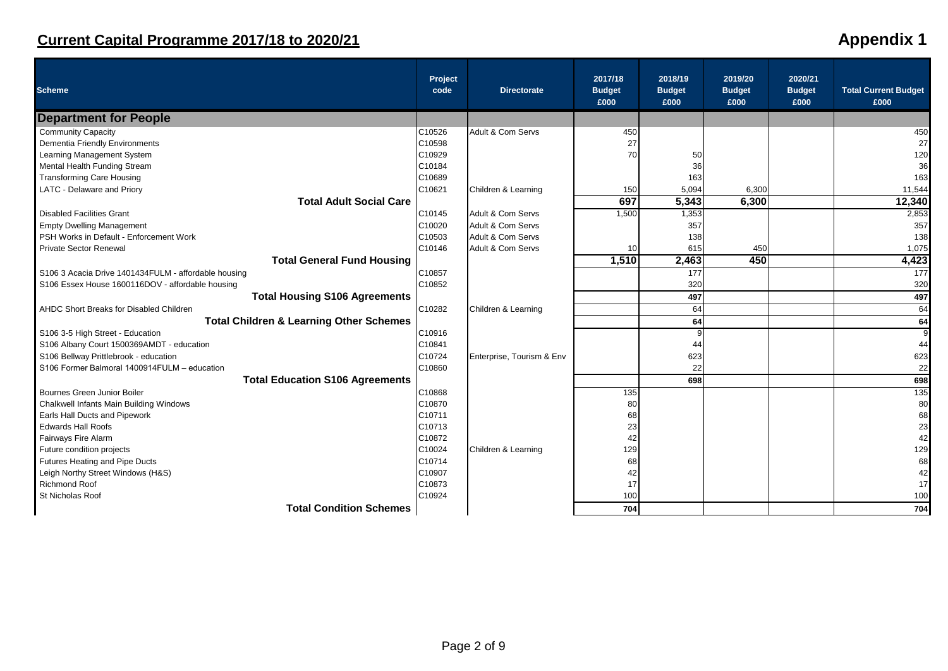| <b>Scheme</b>                                        | Project<br>code | <b>Directorate</b>        | 2017/18<br><b>Budget</b><br>£000 | 2018/19<br><b>Budget</b><br>£000 | 2019/20<br><b>Budget</b><br>£000 | 2020/21<br><b>Budget</b><br>£000 | <b>Total Current Budget</b><br>£000 |
|------------------------------------------------------|-----------------|---------------------------|----------------------------------|----------------------------------|----------------------------------|----------------------------------|-------------------------------------|
| <b>Department for People</b>                         |                 |                           |                                  |                                  |                                  |                                  |                                     |
| <b>Community Capacity</b>                            | C10526          | Adult & Com Servs         | 450                              |                                  |                                  |                                  | 450                                 |
| Dementia Friendly Environments                       | C10598          |                           | 27                               |                                  |                                  |                                  | 27                                  |
| Learning Management System                           | C10929          |                           | 70                               | 50                               |                                  |                                  | 120                                 |
| Mental Health Funding Stream                         | C10184          |                           |                                  | 36                               |                                  |                                  | 36                                  |
| <b>Transforming Care Housing</b>                     | C10689          |                           |                                  | 163                              |                                  |                                  | 163                                 |
| LATC - Delaware and Priory                           | C10621          | Children & Learning       | 150                              | 5,094                            | 6,300                            |                                  | 11,544                              |
| <b>Total Adult Social Care</b>                       |                 |                           | 697                              | 5,343                            | 6,300                            |                                  | 12,340                              |
| <b>Disabled Facilities Grant</b>                     | C10145          | Adult & Com Servs         | 1,500                            | 1,353                            |                                  |                                  | 2,853                               |
| <b>Empty Dwelling Management</b>                     | C10020          | Adult & Com Servs         |                                  | 357                              |                                  |                                  | 357                                 |
| PSH Works in Default - Enforcement Work              | C10503          | Adult & Com Servs         |                                  | 138                              |                                  |                                  | 138                                 |
| <b>Private Sector Renewal</b>                        | C10146          | Adult & Com Servs         | 10                               | 615                              | 450                              |                                  | 1,075                               |
| <b>Total General Fund Housing</b>                    |                 |                           | 1,510                            | 2,463                            | 450                              |                                  | 4,423                               |
| S106 3 Acacia Drive 1401434FULM - affordable housing | C10857          |                           |                                  | 177                              |                                  |                                  | 177                                 |
| S106 Essex House 1600116DOV - affordable housing     | C10852          |                           |                                  | 320                              |                                  |                                  | 320                                 |
| <b>Total Housing S106 Agreements</b>                 |                 |                           |                                  | 497                              |                                  |                                  | 497                                 |
| AHDC Short Breaks for Disabled Children              | C10282          | Children & Learning       |                                  | 64                               |                                  |                                  | 64                                  |
| <b>Total Children &amp; Learning Other Schemes</b>   |                 |                           |                                  | 64                               |                                  |                                  | 64                                  |
| S106 3-5 High Street - Education                     | C10916          |                           |                                  | q                                |                                  |                                  | 9                                   |
| S106 Albany Court 1500369AMDT - education            | C10841          |                           |                                  | 44                               |                                  |                                  | 44                                  |
| S106 Bellway Prittlebrook - education                | C10724          | Enterprise, Tourism & Env |                                  | 623                              |                                  |                                  | 623                                 |
| S106 Former Balmoral 1400914FULM - education         | C10860          |                           |                                  | 22                               |                                  |                                  | 22                                  |
| <b>Total Education S106 Agreements</b>               |                 |                           |                                  | 698                              |                                  |                                  | 698                                 |
| Bournes Green Junior Boiler                          | C10868          |                           | 135                              |                                  |                                  |                                  | 135                                 |
| Chalkwell Infants Main Building Windows              | C10870          |                           | 80                               |                                  |                                  |                                  | 80                                  |
| Earls Hall Ducts and Pipework                        | C10711          |                           | 68                               |                                  |                                  |                                  | 68                                  |
| <b>Edwards Hall Roofs</b>                            | C10713          |                           | 23                               |                                  |                                  |                                  | 23                                  |
| Fairways Fire Alarm                                  | C10872          |                           | 42                               |                                  |                                  |                                  | 42                                  |
| Future condition projects                            | C10024          | Children & Learning       | 129                              |                                  |                                  |                                  | 129                                 |
| <b>Futures Heating and Pipe Ducts</b>                | C10714          |                           | 68                               |                                  |                                  |                                  | 68                                  |
| Leigh Northy Street Windows (H&S)                    | C10907          |                           | 42                               |                                  |                                  |                                  | 42                                  |
| <b>Richmond Roof</b>                                 | C10873          |                           | 17                               |                                  |                                  |                                  | 17                                  |
| St Nicholas Roof                                     | C10924          |                           | 100                              |                                  |                                  |                                  | 100                                 |
| <b>Total Condition Schemes</b>                       |                 |                           | 704                              |                                  |                                  |                                  | 704                                 |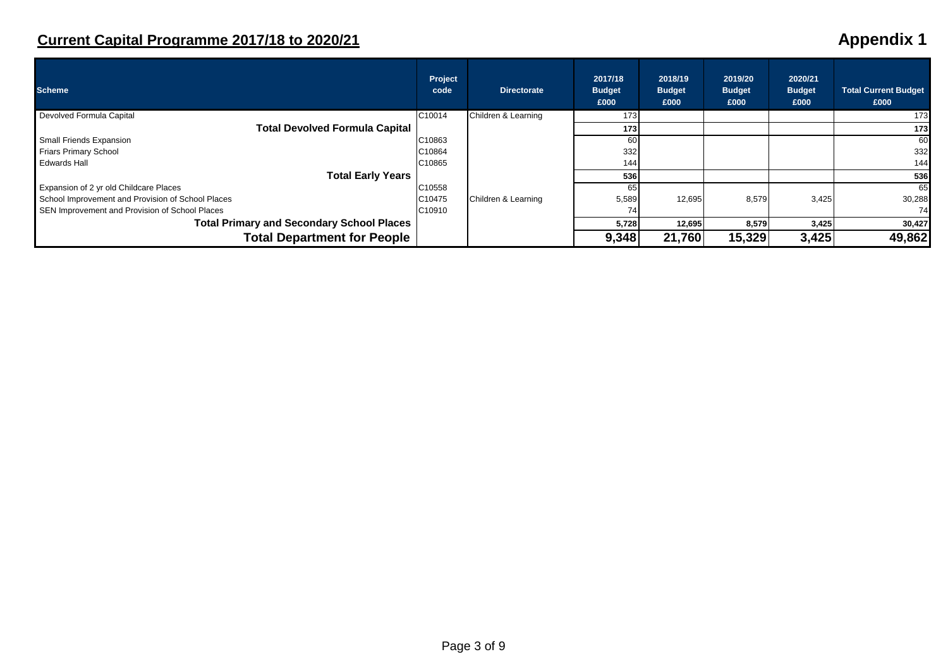| <b>Scheme</b>                                     | Project<br>code | <b>Directorate</b>  | 2017/18<br><b>Budget</b><br>£000 | 2018/19<br><b>Budget</b><br>£000 | 2019/20<br><b>Budget</b><br>£000 | 2020/21<br><b>Budget</b><br>£000 | <b>Total Current Budget</b><br>£000 |
|---------------------------------------------------|-----------------|---------------------|----------------------------------|----------------------------------|----------------------------------|----------------------------------|-------------------------------------|
| Devolved Formula Capital                          | C10014          | Children & Learning | 173                              |                                  |                                  |                                  | 173                                 |
| Total Devolved Formula Capital                    |                 |                     | 173 <sub>l</sub>                 |                                  |                                  |                                  | 173                                 |
| Small Friends Expansion                           | C10863          |                     | 60                               |                                  |                                  |                                  | 60                                  |
| Friars Primary School                             | C10864          |                     | 332                              |                                  |                                  |                                  | 332                                 |
| <b>Edwards Hall</b>                               | C10865          |                     | 144                              |                                  |                                  |                                  | 144                                 |
| <b>Total Early Years</b>                          |                 |                     | 536                              |                                  |                                  |                                  | 536                                 |
| Expansion of 2 yr old Childcare Places            | C10558          |                     | 65                               |                                  |                                  |                                  | 65                                  |
| School Improvement and Provision of School Places | C10475          | Children & Learning | 5,589                            | 12,695                           | 8,579                            | 3,425                            | 30,288                              |
| SEN Improvement and Provision of School Places    | C10910          |                     | 74                               |                                  |                                  |                                  | 74                                  |
| <b>Total Primary and Secondary School Places</b>  |                 |                     | 5,728                            | 12,695                           | 8,579                            | 3,425                            | 30,427                              |
| <b>Total Department for People</b>                |                 |                     | 9,348                            | 21,760                           | 15,329                           | 3,425                            | 49,862                              |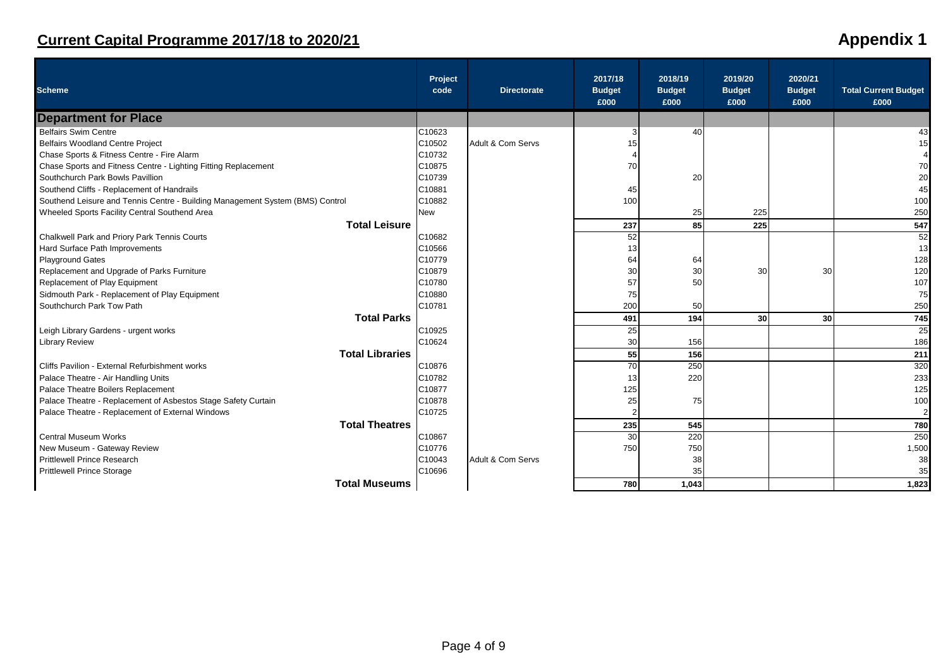| <b>Scheme</b>                                                                 | Project<br>code | <b>Directorate</b> | 2017/18<br><b>Budget</b> | 2018/19<br><b>Budget</b> | 2019/20<br><b>Budget</b> | 2020/21<br><b>Budget</b> | <b>Total Current Budget</b> |
|-------------------------------------------------------------------------------|-----------------|--------------------|--------------------------|--------------------------|--------------------------|--------------------------|-----------------------------|
| <b>Department for Place</b>                                                   |                 |                    | £000                     | £000                     | £000                     | £000                     | £000                        |
| <b>Belfairs Swim Centre</b>                                                   | C10623          |                    | 3                        | 40                       |                          |                          | 43                          |
| <b>Belfairs Woodland Centre Project</b>                                       | C10502          | Adult & Com Servs  | 15                       |                          |                          |                          | 15                          |
| Chase Sports & Fitness Centre - Fire Alarm                                    | C10732          |                    |                          |                          |                          |                          |                             |
| Chase Sports and Fitness Centre - Lighting Fitting Replacement                | C10875          |                    | 70                       |                          |                          |                          | 70                          |
| Southchurch Park Bowls Pavillion                                              | C10739          |                    |                          | 20                       |                          |                          | 20                          |
| Southend Cliffs - Replacement of Handrails                                    | C10881          |                    | 45                       |                          |                          |                          | 45                          |
| Southend Leisure and Tennis Centre - Building Management System (BMS) Control | C10882          |                    | 100                      |                          |                          |                          | 100                         |
| Wheeled Sports Facility Central Southend Area                                 | <b>New</b>      |                    |                          | 25                       | 225                      |                          | 250                         |
| <b>Total Leisure</b>                                                          |                 |                    | 237                      | 85                       | 225                      |                          | 547                         |
| Chalkwell Park and Priory Park Tennis Courts                                  | C10682          |                    | 52                       |                          |                          |                          | 52                          |
| Hard Surface Path Improvements                                                | C10566          |                    | 13                       |                          |                          |                          | 13                          |
| <b>Playground Gates</b>                                                       | C10779          |                    | 64                       | 64                       |                          |                          | 128                         |
| Replacement and Upgrade of Parks Furniture                                    | C10879          |                    | 30                       | 30                       | 30                       | 30                       | 120                         |
| Replacement of Play Equipment                                                 | C10780          |                    | 57                       | 50                       |                          |                          | 107                         |
| Sidmouth Park - Replacement of Play Equipment                                 | C10880          |                    | 75                       |                          |                          |                          | 75                          |
| Southchurch Park Tow Path                                                     | C10781          |                    | 200                      | 50                       |                          |                          | 250                         |
| <b>Total Parks</b>                                                            |                 |                    | 491                      | 194                      | 30 <sup>l</sup>          | 30 <sup>1</sup>          | 745                         |
| Leigh Library Gardens - urgent works                                          | C10925          |                    | 25                       |                          |                          |                          | 25                          |
| <b>Library Review</b>                                                         | C10624          |                    | 30                       | 156                      |                          |                          | 186                         |
| <b>Total Libraries</b>                                                        |                 |                    | 55                       | 156                      |                          |                          | 211                         |
| Cliffs Pavilion - External Refurbishment works                                | C10876          |                    | 70                       | 250                      |                          |                          | 320                         |
| Palace Theatre - Air Handling Units                                           | C10782          |                    | 13                       | 220                      |                          |                          | 233                         |
| Palace Theatre Boilers Replacement                                            | C10877          |                    | 125                      |                          |                          |                          | 125                         |
| Palace Theatre - Replacement of Asbestos Stage Safety Curtain                 | C10878          |                    | 25                       | 75                       |                          |                          | 100                         |
| Palace Theatre - Replacement of External Windows                              | C10725          |                    |                          |                          |                          |                          |                             |
| <b>Total Theatres</b>                                                         |                 |                    | 235                      | 545                      |                          |                          | 780                         |
| <b>Central Museum Works</b>                                                   | C10867          |                    | 30                       | 220                      |                          |                          | 250                         |
| New Museum - Gateway Review                                                   | C10776          |                    | 750                      | 750                      |                          |                          | 1,500                       |
| <b>Prittlewell Prince Research</b>                                            | C10043          | Adult & Com Servs  |                          | 38                       |                          |                          | 38                          |
| <b>Prittlewell Prince Storage</b>                                             | C10696          |                    |                          | 35                       |                          |                          | 35                          |
| <b>Total Museums</b>                                                          |                 |                    | 780                      | 1,043                    |                          |                          | 1,823                       |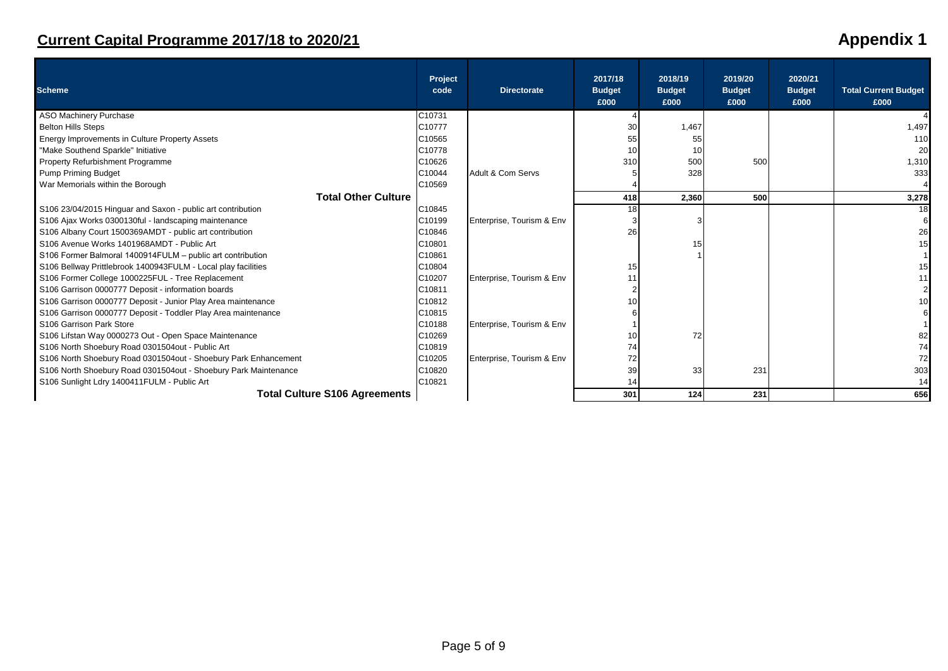| <b>Scheme</b>                                                   | Project<br>code | <b>Directorate</b>        | 2017/18<br><b>Budget</b><br>£000 | 2018/19<br><b>Budget</b><br>£000 | 2019/20<br><b>Budget</b><br>£000 | 2020/21<br><b>Budget</b><br>£000 | <b>Total Current Budget</b><br>£000 |
|-----------------------------------------------------------------|-----------------|---------------------------|----------------------------------|----------------------------------|----------------------------------|----------------------------------|-------------------------------------|
| <b>ASO Machinery Purchase</b>                                   | C10731          |                           |                                  |                                  |                                  |                                  |                                     |
| <b>Belton Hills Steps</b>                                       | C10777          |                           | 30                               | 1,467                            |                                  |                                  | 1,497                               |
| Energy Improvements in Culture Property Assets                  | C10565          |                           | 55                               |                                  |                                  |                                  | 110                                 |
| "Make Southend Sparkle" Initiative                              | C10778          |                           | 10                               | 10                               |                                  |                                  | 20                                  |
| <b>Property Refurbishment Programme</b>                         | C10626          |                           | 310                              | 500                              | 500                              |                                  | 1,310                               |
| <b>Pump Priming Budget</b>                                      | C10044          | Adult & Com Servs         |                                  | 328                              |                                  |                                  | 333                                 |
| War Memorials within the Borough                                | C10569          |                           |                                  |                                  |                                  |                                  |                                     |
| <b>Total Other Culture</b>                                      |                 |                           | 418                              | 2,360                            | 500                              |                                  | 3,278                               |
| S106 23/04/2015 Hinguar and Saxon - public art contribution     | C10845          |                           | 18                               |                                  |                                  |                                  | 18                                  |
| S106 Ajax Works 0300130ful - landscaping maintenance            | C10199          | Enterprise, Tourism & Env |                                  |                                  |                                  |                                  |                                     |
| S106 Albany Court 1500369AMDT - public art contribution         | C10846          |                           | 26                               |                                  |                                  |                                  | 26                                  |
| S106 Avenue Works 1401968AMDT - Public Art                      | C10801          |                           |                                  | 15                               |                                  |                                  | 15                                  |
| S106 Former Balmoral 1400914FULM - public art contribution      | C10861          |                           |                                  |                                  |                                  |                                  |                                     |
| S106 Bellway Prittlebrook 1400943FULM - Local play facilities   | C10804          |                           | 15                               |                                  |                                  |                                  |                                     |
| S106 Former College 1000225FUL - Tree Replacement               | C10207          | Enterprise, Tourism & Env | 11                               |                                  |                                  |                                  |                                     |
| S106 Garrison 0000777 Deposit - information boards              | C10811          |                           |                                  |                                  |                                  |                                  |                                     |
| S106 Garrison 0000777 Deposit - Junior Play Area maintenance    | C10812          |                           |                                  |                                  |                                  |                                  |                                     |
| S106 Garrison 0000777 Deposit - Toddler Play Area maintenance   | C10815          |                           |                                  |                                  |                                  |                                  |                                     |
| S106 Garrison Park Store                                        | C10188          | Enterprise, Tourism & Env |                                  |                                  |                                  |                                  |                                     |
| S106 Lifstan Way 0000273 Out - Open Space Maintenance           | C10269          |                           | 10                               | 72                               |                                  |                                  | 82                                  |
| S106 North Shoebury Road 0301504out - Public Art                | C10819          |                           | 74                               |                                  |                                  |                                  | 74                                  |
| S106 North Shoebury Road 0301504out - Shoebury Park Enhancement | C10205          | Enterprise, Tourism & Env | 72                               |                                  |                                  |                                  | 72                                  |
| S106 North Shoebury Road 0301504out - Shoebury Park Maintenance | C10820          |                           | 39                               | 33                               | 231                              |                                  | 303                                 |
| S106 Sunlight Ldry 1400411FULM - Public Art                     | C10821          |                           |                                  |                                  |                                  |                                  | 14                                  |
| <b>Total Culture S106 Agreements</b>                            |                 |                           | 301                              | 124                              | 231                              |                                  | 656                                 |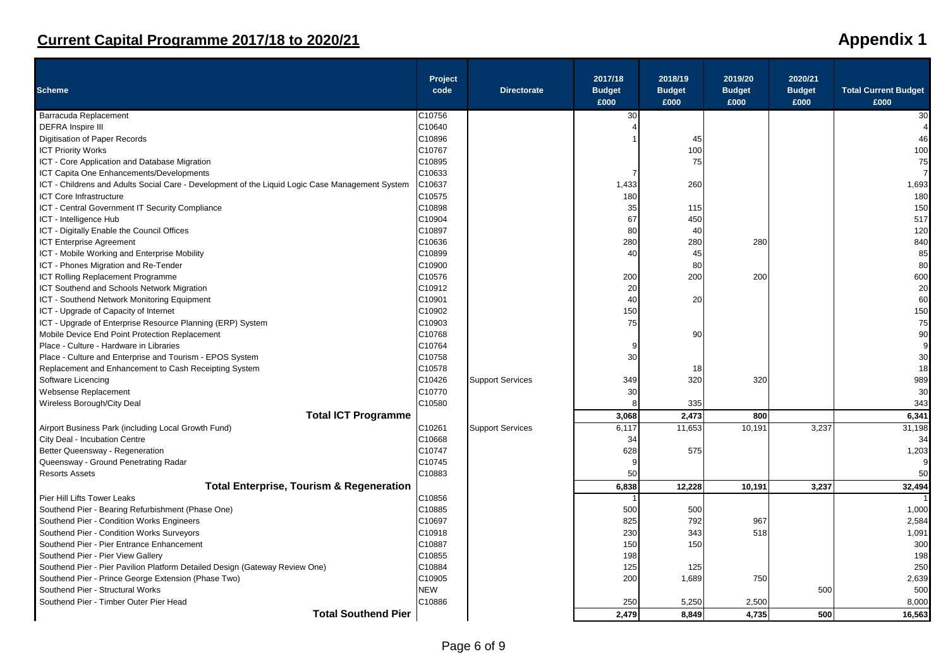| <b>Scheme</b>                                                                                   | Project<br>code | <b>Directorate</b>      | 2017/18<br><b>Budget</b><br>£000 | 2018/19<br><b>Budget</b><br>£000 | 2019/20<br><b>Budget</b><br>£000 | 2020/21<br><b>Budget</b><br>£000 | <b>Total Current Budget</b><br>£000 |
|-------------------------------------------------------------------------------------------------|-----------------|-------------------------|----------------------------------|----------------------------------|----------------------------------|----------------------------------|-------------------------------------|
| Barracuda Replacement                                                                           | C10756          |                         | 30                               |                                  |                                  |                                  | 30                                  |
| <b>DEFRA</b> Inspire III                                                                        | C10640          |                         |                                  |                                  |                                  |                                  |                                     |
| Digitisation of Paper Records                                                                   | C10896          |                         |                                  | 45                               |                                  |                                  | 46                                  |
| <b>ICT Priority Works</b>                                                                       | C10767          |                         |                                  | 100                              |                                  |                                  | 100                                 |
| ICT - Core Application and Database Migration                                                   | C10895          |                         |                                  | 75                               |                                  |                                  | 75                                  |
| ICT Capita One Enhancements/Developments                                                        | C10633          |                         |                                  |                                  |                                  |                                  |                                     |
| ICT - Childrens and Adults Social Care - Development of the Liquid Logic Case Management System | C10637          |                         | 1,433                            | 260                              |                                  |                                  | 1,693                               |
| <b>ICT Core Infrastructure</b>                                                                  | C10575          |                         | 180                              |                                  |                                  |                                  | 180                                 |
| ICT - Central Government IT Security Compliance                                                 | C10898          |                         | 35                               | 115                              |                                  |                                  | 150                                 |
| ICT - Intelligence Hub                                                                          | C10904          |                         | 67                               | 450                              |                                  |                                  | 517                                 |
| ICT - Digitally Enable the Council Offices                                                      | C10897          |                         | 80                               | 40                               |                                  |                                  | 120                                 |
| <b>ICT Enterprise Agreement</b>                                                                 | C10636          |                         | 280                              | 280                              | 280                              |                                  | 840                                 |
| ICT - Mobile Working and Enterprise Mobility                                                    | C10899          |                         | 40                               | 45                               |                                  |                                  | 85                                  |
| ICT - Phones Migration and Re-Tender                                                            | C10900          |                         |                                  | 80                               |                                  |                                  | 80                                  |
| ICT Rolling Replacement Programme                                                               | C10576          |                         | 200                              | 200                              | 200                              |                                  | 600                                 |
| ICT Southend and Schools Network Migration                                                      | C10912          |                         | 20                               |                                  |                                  |                                  | 20                                  |
| ICT - Southend Network Monitoring Equipment                                                     | C10901          |                         | 40                               | 20                               |                                  |                                  | 60                                  |
| ICT - Upgrade of Capacity of Internet                                                           | C10902          |                         | 150                              |                                  |                                  |                                  | 150                                 |
| ICT - Upgrade of Enterprise Resource Planning (ERP) System                                      | C10903          |                         | 75                               |                                  |                                  |                                  | 75                                  |
| Mobile Device End Point Protection Replacement                                                  | C10768          |                         |                                  | 90                               |                                  |                                  | 90                                  |
| Place - Culture - Hardware in Libraries                                                         | C10764          |                         | c                                |                                  |                                  |                                  |                                     |
|                                                                                                 | C10758          |                         | 30                               |                                  |                                  |                                  | 30                                  |
| Place - Culture and Enterprise and Tourism - EPOS System                                        | C10578          |                         |                                  |                                  |                                  |                                  | 18                                  |
| Replacement and Enhancement to Cash Receipting System                                           |                 |                         |                                  | 18                               |                                  |                                  |                                     |
| Software Licencing                                                                              | C10426          | <b>Support Services</b> | 349                              | 320                              | 320                              |                                  | 989                                 |
| Websense Replacement                                                                            | C10770          |                         | 30                               |                                  |                                  |                                  | 30                                  |
| Wireless Borough/City Deal                                                                      | C10580          |                         |                                  | 335                              |                                  |                                  | 343                                 |
| <b>Total ICT Programme</b>                                                                      |                 |                         | 3,068                            | 2,473                            | 800                              |                                  | 6,341                               |
| Airport Business Park (including Local Growth Fund)                                             | C10261          | <b>Support Services</b> | 6,117                            | 11,653                           | 10,191                           | 3,237                            | 31,198                              |
| City Deal - Incubation Centre                                                                   | C10668          |                         | 34                               |                                  |                                  |                                  | 34                                  |
| Better Queensway - Regeneration                                                                 | C10747          |                         | 628                              | 575                              |                                  |                                  | 1,203                               |
| Queensway - Ground Penetrating Radar                                                            | C10745          |                         | c                                |                                  |                                  |                                  | g                                   |
| <b>Resorts Assets</b>                                                                           | C10883          |                         | 50                               |                                  |                                  |                                  | 50                                  |
| <b>Total Enterprise, Tourism &amp; Regeneration</b>                                             |                 |                         | 6,838                            | 12,228                           | 10,191                           | 3,237                            | 32,494                              |
| Pier Hill Lifts Tower Leaks                                                                     | C10856          |                         |                                  |                                  |                                  |                                  |                                     |
| Southend Pier - Bearing Refurbishment (Phase One)                                               | C10885          |                         | 500                              | 500                              |                                  |                                  | 1,000                               |
| Southend Pier - Condition Works Engineers                                                       | C10697          |                         | 825                              | 792                              | 967                              |                                  | 2.584                               |
| Southend Pier - Condition Works Surveyors                                                       | C10918          |                         | 230                              | 343                              | 518                              |                                  | 1,091                               |
| Southend Pier - Pier Entrance Enhancement                                                       | C10887          |                         | 150                              | 150                              |                                  |                                  | 300                                 |
| Southend Pier - Pier View Gallery                                                               | C10855          |                         | 198                              |                                  |                                  |                                  | 198                                 |
| Southend Pier - Pier Pavilion Platform Detailed Design (Gateway Review One)                     | C10884          |                         | 125                              | 125                              |                                  |                                  | 250                                 |
| Southend Pier - Prince George Extension (Phase Two)                                             | C10905          |                         | 200                              | 1,689                            | 750                              |                                  | 2,639                               |
| Southend Pier - Structural Works                                                                | <b>NEW</b>      |                         |                                  |                                  |                                  | 500                              | 500                                 |
| Southend Pier - Timber Outer Pier Head                                                          | C10886          |                         | 250                              | 5,250                            | 2,500                            |                                  | 8,000                               |
| <b>Total Southend Pier</b>                                                                      |                 |                         | 2.479                            |                                  | 4.735                            |                                  |                                     |
|                                                                                                 |                 |                         |                                  | 8.849                            |                                  | 500                              | 16.563                              |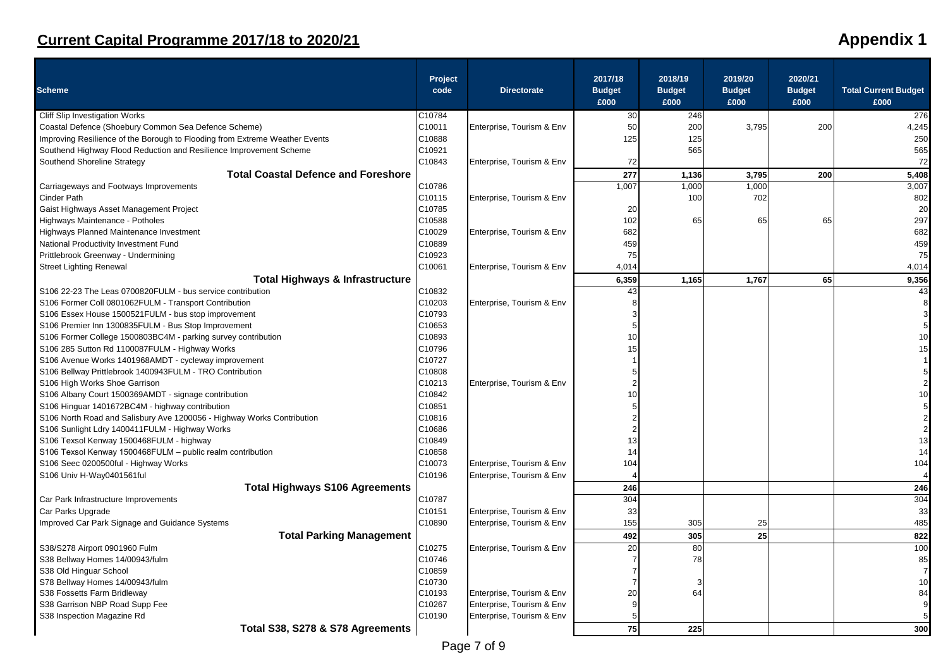| <b>Scheme</b>                                                               | Project<br>code | <b>Directorate</b>        | 2017/18<br><b>Budget</b> | 2018/19<br><b>Budget</b> | 2019/20<br><b>Budget</b> | 2020/21<br><b>Budget</b> | <b>Total Current Budget</b> |
|-----------------------------------------------------------------------------|-----------------|---------------------------|--------------------------|--------------------------|--------------------------|--------------------------|-----------------------------|
|                                                                             |                 |                           | £000                     | £000                     | £000                     | £000                     | £000                        |
| Cliff Slip Investigation Works                                              | C10784          |                           | 30                       | 246                      |                          |                          | 276                         |
| Coastal Defence (Shoebury Common Sea Defence Scheme)                        | C10011          | Enterprise, Tourism & Env | 50                       | 200                      | 3,795                    | 200                      | 4,245                       |
| Improving Resilience of the Borough to Flooding from Extreme Weather Events | C10888          |                           | 125                      | 125                      |                          |                          | 250                         |
| Southend Highway Flood Reduction and Resilience Improvement Scheme          | C10921          |                           |                          | 565                      |                          |                          | 565                         |
| Southend Shoreline Strategy                                                 | C10843          | Enterprise, Tourism & Env | 72                       |                          |                          |                          | 72                          |
| <b>Total Coastal Defence and Foreshore</b>                                  |                 |                           | 277                      | 1,136                    | 3,795                    | 200                      | 5,408                       |
| Carriageways and Footways Improvements                                      | C10786          |                           | 1,007                    | 1,000                    | 1,000                    |                          | 3,007                       |
| <b>Cinder Path</b>                                                          | C10115          | Enterprise, Tourism & Env |                          | 100                      | 702                      |                          | 802                         |
| Gaist Highways Asset Management Project                                     | C10785          |                           | 20                       |                          |                          |                          | 20                          |
| Highways Maintenance - Potholes                                             | C10588          |                           | 102                      | 65                       | 65                       | 65                       | 297                         |
| Highways Planned Maintenance Investment                                     | C10029          | Enterprise, Tourism & Env | 682                      |                          |                          |                          | 682                         |
| National Productivity Investment Fund                                       | C10889          |                           | 459                      |                          |                          |                          | 459                         |
| Prittlebrook Greenway - Undermining                                         | C10923          |                           | 75                       |                          |                          |                          | 75                          |
| <b>Street Lighting Renewal</b>                                              | C10061          | Enterprise, Tourism & Env | 4,014                    |                          |                          |                          | 4,014                       |
| <b>Total Highways &amp; Infrastructure</b>                                  |                 |                           | 6,359                    | 1,165                    | 1,767                    | 65                       | 9,356                       |
| S106 22-23 The Leas 0700820FULM - bus service contribution                  | C10832          |                           | 43                       |                          |                          |                          | 43                          |
| S106 Former Coll 0801062FULM - Transport Contribution                       | C10203          | Enterprise, Tourism & Env | 8                        |                          |                          |                          |                             |
| S106 Essex House 1500521FULM - bus stop improvement                         | C10793          |                           | 3                        |                          |                          |                          |                             |
| S106 Premier Inn 1300835FULM - Bus Stop Improvement                         | C10653          |                           | 5                        |                          |                          |                          |                             |
| S106 Former College 1500803BC4M - parking survey contribution               | C10893          |                           | 10                       |                          |                          |                          | 10                          |
| S106 285 Sutton Rd 1100087FULM - Highway Works                              | C10796          |                           | 15                       |                          |                          |                          | 15                          |
| S106 Avenue Works 1401968AMDT - cycleway improvement                        | C10727          |                           |                          |                          |                          |                          |                             |
| S106 Bellway Prittlebrook 1400943FULM - TRO Contribution                    | C10808          |                           |                          |                          |                          |                          |                             |
| S106 High Works Shoe Garrison                                               | C10213          | Enterprise, Tourism & Env | $\overline{2}$           |                          |                          |                          |                             |
| S106 Albany Court 1500369AMDT - signage contribution                        | C10842          |                           | 10                       |                          |                          |                          | 10                          |
| S106 Hinguar 1401672BC4M - highway contribution                             | C10851          |                           | 5                        |                          |                          |                          |                             |
| S106 North Road and Salisbury Ave 1200056 - Highway Works Contribution      | C10816          |                           |                          |                          |                          |                          |                             |
| S106 Sunlight Ldry 1400411FULM - Highway Works                              | C10686          |                           | $\overline{c}$           |                          |                          |                          |                             |
| S106 Texsol Kenway 1500468FULM - highway                                    | C10849          |                           | 13                       |                          |                          |                          | 13                          |
| S106 Texsol Kenway 1500468FULM - public realm contribution                  | C10858          |                           | 14                       |                          |                          |                          | 14                          |
| S106 Seec 0200500ful - Highway Works                                        | C10073          | Enterprise, Tourism & Env | 104                      |                          |                          |                          | 104                         |
| S106 Univ H-Way0401561ful                                                   | C10196          | Enterprise, Tourism & Env |                          |                          |                          |                          | 4                           |
| <b>Total Highways S106 Agreements</b>                                       |                 |                           | 246                      |                          |                          |                          | 246                         |
| Car Park Infrastructure Improvements                                        | C10787          |                           | 304                      |                          |                          |                          | 304                         |
| Car Parks Upgrade                                                           | C10151          | Enterprise, Tourism & Env | 33                       |                          |                          |                          | 33                          |
| Improved Car Park Signage and Guidance Systems                              | C10890          | Enterprise, Tourism & Env | 155                      | 305                      | 25                       |                          | 485                         |
| <b>Total Parking Management</b>                                             |                 |                           | 492                      | 305                      | 25                       |                          | 822                         |
| S38/S278 Airport 0901960 Fulm                                               | C10275          | Enterprise, Tourism & Env | 20                       | 80                       |                          |                          | 100                         |
| S38 Bellway Homes 14/00943/fulm                                             | C10746          |                           | 7                        | 78                       |                          |                          | 85                          |
| S38 Old Hinguar School                                                      | C10859          |                           |                          |                          |                          |                          | $\overline{7}$              |
| S78 Bellway Homes 14/00943/fulm                                             | C10730          |                           |                          | 3                        |                          |                          | 10                          |
| S38 Fossetts Farm Bridleway                                                 | C10193          | Enterprise, Tourism & Env | 20                       | 64                       |                          |                          | 84                          |
| S38 Garrison NBP Road Supp Fee                                              | C10267          | Enterprise, Tourism & Env | q                        |                          |                          |                          | 9                           |
| S38 Inspection Magazine Rd                                                  | C10190          | Enterprise, Tourism & Env |                          |                          |                          |                          |                             |
| Total S38, S278 & S78 Agreements                                            |                 |                           | 75                       | 225                      |                          |                          | 300                         |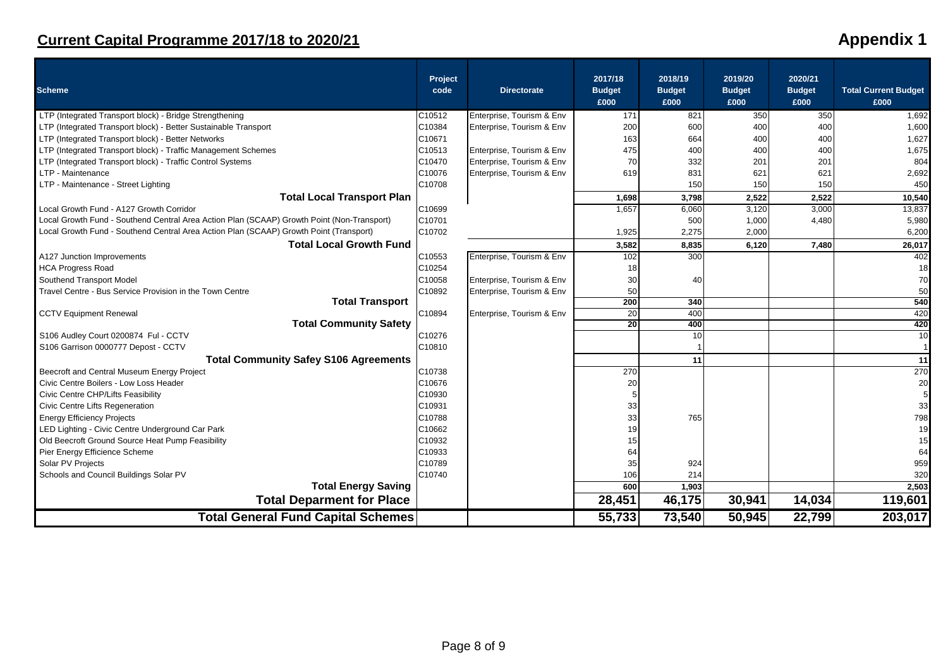| <b>Scheme</b>                                                                              | Project<br>code | <b>Directorate</b>        | 2017/18<br><b>Budget</b><br>£000 | 2018/19<br><b>Budget</b><br>£000 | 2019/20<br><b>Budget</b><br>£000 | 2020/21<br><b>Budget</b><br>£000 | <b>Total Current Budget</b><br>£000 |
|--------------------------------------------------------------------------------------------|-----------------|---------------------------|----------------------------------|----------------------------------|----------------------------------|----------------------------------|-------------------------------------|
| LTP (Integrated Transport block) - Bridge Strengthening                                    | C10512          | Enterprise, Tourism & Env | 171                              | 821                              | 350                              | 350                              | 1,692                               |
| LTP (Integrated Transport block) - Better Sustainable Transport                            | C10384          | Enterprise, Tourism & Env | 200                              | 600                              | 400                              | 400                              | 1,600                               |
| LTP (Integrated Transport block) - Better Networks                                         | C10671          |                           | 163                              | 664                              | 400                              | 400                              | 1,627                               |
| LTP (Integrated Transport block) - Traffic Management Schemes                              | C10513          | Enterprise, Tourism & Env | 475                              | 400                              | 400                              | 400                              | 1,675                               |
| LTP (Integrated Transport block) - Traffic Control Systems                                 | C10470          | Enterprise, Tourism & Env | 70                               | 332                              | 201                              | 201                              | 804                                 |
| LTP - Maintenance                                                                          | C10076          | Enterprise, Tourism & Env | 619                              | 831                              | 621                              | 621                              | 2,692                               |
| LTP - Maintenance - Street Lighting                                                        | C10708          |                           |                                  | 150                              | 150                              | 150                              | 450                                 |
| <b>Total Local Transport Plan</b>                                                          |                 |                           | 1,698                            | 3,798                            | 2,522                            | 2,522                            | 10,540                              |
| Local Growth Fund - A127 Growth Corridor                                                   | C10699          |                           | 1,657                            | 6,060                            | 3,120                            | 3,000                            | 13,837                              |
| Local Growth Fund - Southend Central Area Action Plan (SCAAP) Growth Point (Non-Transport) | C10701          |                           |                                  | 500                              | 1,000                            | 4,480                            | 5,980                               |
| Local Growth Fund - Southend Central Area Action Plan (SCAAP) Growth Point (Transport)     | C10702          |                           | 1,925                            | 2,275                            | 2,000                            |                                  | 6,200                               |
| <b>Total Local Growth Fund</b>                                                             |                 |                           | 3,582                            | 8,835                            | 6,120                            | 7,480                            | 26,017                              |
| A127 Junction Improvements                                                                 | C10553          | Enterprise, Tourism & Env | 102                              | 300                              |                                  |                                  | 402                                 |
| <b>HCA Progress Road</b>                                                                   | C10254          |                           | 18                               |                                  |                                  |                                  | 18                                  |
| Southend Transport Model                                                                   | C10058          | Enterprise, Tourism & Env | 30                               | 40                               |                                  |                                  | 70                                  |
| Travel Centre - Bus Service Provision in the Town Centre                                   | C10892          | Enterprise, Tourism & Env | 50                               |                                  |                                  |                                  | 50                                  |
| <b>Total Transport</b>                                                                     |                 |                           | 200                              | 340                              |                                  |                                  | 540                                 |
| <b>CCTV Equipment Renewal</b>                                                              | C10894          | Enterprise, Tourism & Env | 20                               | 400                              |                                  |                                  | 420                                 |
| <b>Total Community Safety</b>                                                              |                 |                           | 20                               | 400                              |                                  |                                  | 420                                 |
| S106 Audley Court 0200874 Ful - CCTV                                                       | C10276          |                           |                                  | 10                               |                                  |                                  | 10                                  |
| S106 Garrison 0000777 Depost - CCTV                                                        | C10810          |                           |                                  |                                  |                                  |                                  |                                     |
| <b>Total Community Safey S106 Agreements</b>                                               |                 |                           |                                  | 11                               |                                  |                                  | 11                                  |
| Beecroft and Central Museum Energy Project                                                 | C10738          |                           | 270                              |                                  |                                  |                                  | 270                                 |
| Civic Centre Boilers - Low Loss Header                                                     | C10676          |                           | 20                               |                                  |                                  |                                  | 20                                  |
| Civic Centre CHP/Lifts Feasibility                                                         | C10930          |                           |                                  |                                  |                                  |                                  |                                     |
| Civic Centre Lifts Regeneration                                                            | C10931          |                           | 33                               |                                  |                                  |                                  | 33                                  |
| <b>Energy Efficiency Projects</b>                                                          | C10788          |                           | 33                               | 765                              |                                  |                                  | 798                                 |
| LED Lighting - Civic Centre Underground Car Park                                           | C10662          |                           | 19                               |                                  |                                  |                                  | 19                                  |
| Old Beecroft Ground Source Heat Pump Feasibility                                           | C10932          |                           | 15                               |                                  |                                  |                                  | 15                                  |
| Pier Energy Efficience Scheme                                                              | C10933          |                           | 64                               |                                  |                                  |                                  | 64                                  |
| Solar PV Projects                                                                          | C10789          |                           | 35                               | 924                              |                                  |                                  | 959                                 |
| Schools and Council Buildings Solar PV                                                     | C10740          |                           | 106                              | 214                              |                                  |                                  | 320                                 |
| <b>Total Energy Saving</b>                                                                 |                 |                           | 600                              | 1,903                            |                                  |                                  | 2,503                               |
| <b>Total Deparment for Place</b>                                                           |                 |                           | 28,451                           | 46,175                           | 30,941                           | 14,034                           | 119,601                             |
| <b>Total General Fund Capital Schemes</b>                                                  |                 |                           | 55,733                           | 73,540                           | 50,945                           | 22,799                           | 203,017                             |